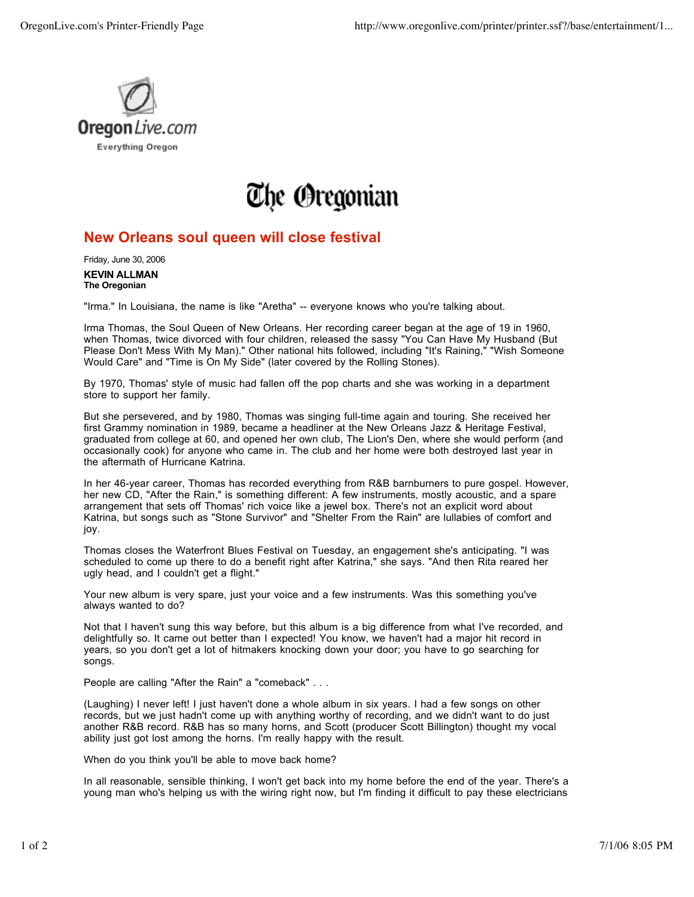

## The Oregonian

## **New Orleans soul queen will close festival**

Friday, June 30, 2006

**KEVIN ALLMAN The Oregonian**

"Irma." In Louisiana, the name is like "Aretha" -- everyone knows who you're talking about.

Irma Thomas, the Soul Queen of New Orleans. Her recording career began at the age of 19 in 1960, when Thomas, twice divorced with four children, released the sassy "You Can Have My Husband (But Please Don't Mess With My Man)." Other national hits followed, including "It's Raining," "Wish Someone Would Care" and "Time is On My Side" (later covered by the Rolling Stones).

By 1970, Thomas' style of music had fallen off the pop charts and she was working in a department store to support her family.

But she persevered, and by 1980, Thomas was singing full-time again and touring. She received her first Grammy nomination in 1989, became a headliner at the New Orleans Jazz & Heritage Festival, graduated from college at 60, and opened her own club, The Lion's Den, where she would perform (and occasionally cook) for anyone who came in. The club and her home were both destroyed last year in the aftermath of Hurricane Katrina.

In her 46-year career, Thomas has recorded everything from R&B barnburners to pure gospel. However, her new CD, "After the Rain," is something different: A few instruments, mostly acoustic, and a spare arrangement that sets off Thomas' rich voice like a jewel box. There's not an explicit word about Katrina, but songs such as "Stone Survivor" and "Shelter From the Rain" are lullabies of comfort and joy.

Thomas closes the Waterfront Blues Festival on Tuesday, an engagement she's anticipating. "I was scheduled to come up there to do a benefit right after Katrina," she says. "And then Rita reared her ugly head, and I couldn't get a flight."

Your new album is very spare, just your voice and a few instruments. Was this something you've always wanted to do?

Not that I haven't sung this way before, but this album is a big difference from what I've recorded, and delightfully so. It came out better than I expected! You know, we haven't had a major hit record in years, so you don't get a lot of hitmakers knocking down your door; you have to go searching for songs.

People are calling "After the Rain" a "comeback" . . .

(Laughing) I never left! I just haven't done a whole album in six years. I had a few songs on other records, but we just hadn't come up with anything worthy of recording, and we didn't want to do just another R&B record. R&B has so many horns, and Scott (producer Scott Billington) thought my vocal ability just got lost among the horns. I'm really happy with the result.

When do you think you'll be able to move back home?

In all reasonable, sensible thinking, I won't get back into my home before the end of the year. There's a young man who's helping us with the wiring right now, but I'm finding it difficult to pay these electricians